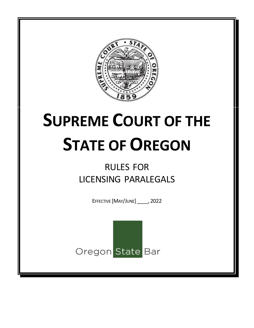

# **SUPREME COURT OF THE STATE OF OREGON**

# RULES FOR LICENSING PARALEGALS

EFFECTIVE [MAY/JUNE] \_\_\_\_, 2022

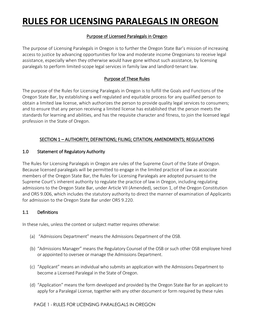# **RULES FOR LICENSING PARALEGALS IN OREGON**

# Purpose of Licensed Paralegals in Oregon

The purpose of Licensing Paralegals in Oregon is to further the Oregon State Bar's mission of increasing access to justice by advancing opportunities for low and moderate income Oregonians to receive legal assistance, especially when they otherwise would have gone without such assistance, by licensing paralegals to perform limited-scope legal services in family law and landlord-tenant law.

# Purpose of These Rules

The purpose of the Rules for Licensing Paralegals in Oregon is to fulfill the Goals and Functions of the Oregon State Bar, by establishing a well regulated and equitable process for any qualified person to obtain a limited law license, which authorizes the person to provide quality legal services to consumers; and to ensure that any person receiving a limited license has established that the person meets the standards for learning and abilities, and has the requisite character and fitness, to join the licensed legal profession in the State of Oregon.

# SECTION 1 – AUTHORITY; DEFINITIONS; FILING; CITATION; AMENDMENTS; REGULATIONS

## 1.0 Statement of Regulatory Authority

The Rules for Licensing Paralegals in Oregon are rules of the Supreme Court of the State of Oregon. Because licensed paralegals will be permitted to engage in the limited practice of law as associate members of the Oregon State Bar, the Rules for Licensing Paralegals are adopted pursuant to the Supreme Court's inherent authority to regulate the practice of law in Oregon, including regulating admissions to the Oregon State Bar, under Article VII (Amended), section 1, of the Oregon Constitution and ORS 9.006, which includes the statutory authority to direct the manner of examination of Applicants for admission to the Oregon State Bar under ORS 9.220.

## 1.1 Definitions

In these rules, unless the context or subject matter requires otherwise:

- (a) "Admissions Department" means the Admissions Department of the OSB.
- (b) "Admissions Manager" means the Regulatory Counsel of the OSB or such other OSB employee hired or appointed to oversee or manage the Admissions Department.
- (c) "Applicant" means an individual who submits an application with the Admissions Department to become a Licensed Paralegal in the State of Oregon.
- (d) "Application" means the form developed and provided by the Oregon State Bar for an applicant to apply for a Paralegal License, together with any other document or form required by these rules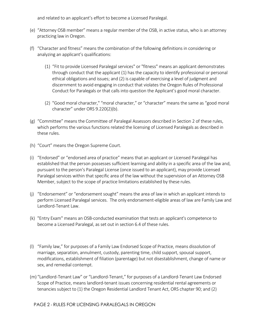and related to an applicant's effort to become a Licensed Paralegal.

- (e) "Attorney OSB member" means a regular member of the OSB, in active status, who is an attorney practicing law in Oregon.
- (f) "Character and fitness" means the combination of the following definitions in considering or analyzing an applicant's qualifications:
	- (1) "Fit to provide Licensed Paralegal services" or "fitness" means an applicant demonstrates through conduct that the applicant (1) has the capacity to identify professional or personal ethical obligations and issues; and (2) is capable of exercising a level of judgment and discernment to avoid engaging in conduct that violates the Oregon Rules of Professional Conduct for Paralegals or that calls into question the Applicant's good moral character.
	- (2) "Good moral character," "moral character," or "character" means the same as "good moral character" under ORS 9.220(2)(b).
- (g) "Committee" means the Committee of Paralegal Assessors described in Section 2 of these rules, which performs the various functions related the licensing of Licensed Paralegals as described in these rules.
- (h) "Court" means the Oregon Supreme Court.
- (i) "Endorsed" or "endorsed area of practice" means that an applicant or Licensed Paralegal has established that the person possesses sufficient learning and ability in a specific area of the law and, pursuant to the person's Paralegal License (once issued to an applicant), may provide Licensed Paralegal services within that specific area of the law without the supervision of an Attorney OSB Member, subject to the scope of practice limitations established by these rules.
- (j) "Endorsement" or "endorsement sought" means the area of law in which an applicant intends to perform Licensed Paralegal services. The only endorsement-eligible areas of law are Family Law and Landlord-Tenant Law.
- (k) "Entry Exam" means an OSB-conducted examination that tests an applicant's competence to become a Licensed Paralegal, as set out in section 6.4 of these rules.
- (l) "Family law," for purposes of a Family Law Endorsed Scope of Practice, means dissolution of marriage, separation, annulment, custody, parenting time, child support, spousal support, modifications, establishment of filiation (parentage) but not disestablishment, change of name or sex, and remedial contempt.
- (m) "Landlord-Tenant Law" or "Landlord-Tenant," for purposes of a Landlord-Tenant Law Endorsed Scope of Practice, means landlord-tenant issues concerning residential rental agreements or tenancies subject to (1) the Oregon Residential Landlord Tenant Act, ORS chapter 90; and (2)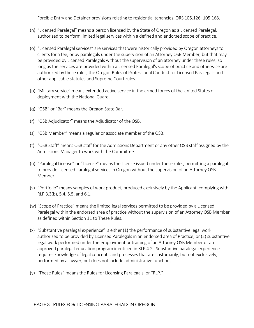Forcible Entry and Detainer provisions relating to residential tenancies, ORS 105.126–105.168.

- (n) "Licensed Paralegal" means a person licensed by the State of Oregon as a Licensed Paralegal, authorized to perform limited legal services within a defined and endorsed scope of practice.
- (o) "Licensed Paralegal services" are services that were historically provided by Oregon attorneys to clients for a fee, or by paralegals under the supervision of an Attorney OSB Member, but that may be provided by Licensed Paralegals without the supervision of an attorney under these rules, so long as the services are provided within a Licensed Paralegal's scope of practice and otherwise are authorized by these rules, the Oregon Rules of Professional Conduct for Licensed Paralegals and other applicable statutes and Supreme Court rules.
- (p) "Military service" means extended active service in the armed forces of the United States or deployment with the National Guard.
- (q) "OSB" or "Bar" means the Oregon State Bar.
- (r) "OSB Adjudicator" means the Adjudicator of the OSB.
- (s) "OSB Member" means a regular or associate member of the OSB.
- (t) "OSB Staff" means OSB staff for the Admissions Department or any other OSB staff assigned by the Admissions Manager to work with the Committee.
- (u) "Paralegal License" or "License" means the license issued under these rules, permitting a paralegal to provide Licensed Paralegal services in Oregon without the supervision of an Attorney OSB Member.
- (v) "Portfolio" means samples of work product, produced exclusively by the Applicant, complying with RLP 3.3(b), 5.4, 5.5, and 6.1.
- (w) "Scope of Practice" means the limited legal services permitted to be provided by a Licensed Paralegal within the endorsed area of practice without the supervision of an Attorney OSB Member as defined within Section 11 to These Rules.
- (x) "Substantive paralegal experience" is either (1) the performance of substantive legal work authorized to be provided by Licensed Paralegals in an endorsed area of Practice; or (2) substantive legal work performed under the employment or training of an Attorney OSB Member or an approved paralegal education program identified in RLP 4.2. Substantive paralegal experience requires knowledge of legal concepts and processes that are customarily, but not exclusively, performed by a lawyer, but does not include administrative functions.
- (y) "These Rules" means the Rules for Licensing Paralegals, or "RLP."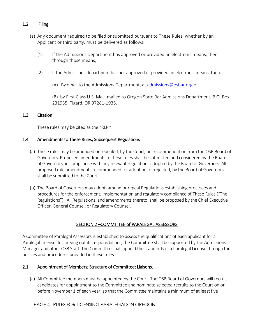# 1.2 Filing

- (a) Any document required to be filed or submitted pursuant to These Rules, whether by an Applicant or third party, must be delivered as follows:
	- (1) If the Admissions Department has approved or provided an electronic means, then through those means;
	- (2) If the Admissions department has not approved or provided an electronic means, then:
		- (A) By email to the Admissions Department, a[t admissions@osbar.org](mailto:admissions@osbar.org) or

(B) by First Class U.S. Mail, mailed to Oregon State Bar Admissions Department, P.O. Box 231935, Tigard, OR 97281-1935.

#### 1.3 Citation

These rules may be cited as the "RLP."

#### 1.4 Amendments to These Rules; Subsequent Regulations

- (a) These rules may be amended or repealed, by the Court, on recommendation from the OSB Board of Governors. Proposed amendments to these rules shall be submitted and considered by the Board of Governors, in compliance with any relevant regulations adopted by the Board of Governors. All proposed rule amendments recommended for adoption, or rejected, by the Board of Governors shall be submitted to the Court.
- (b) The Board of Governors may adopt, amend or repeal Regulations establishing processes and procedures for the enforcement, implementation and regulatory compliance of These Rules ("The Regulations"). All Regulations, and amendments thereto, shall be proposed by the Chief Executive Officer, General Counsel, or Regulatory Counsel.

#### SECTION 2 –COMMITTEE of PARALEGAL ASSESSORS

A Committee of Paralegal Assessors is established to assess the qualifications of each applicant for a Paralegal License. In carrying out its responsibilities, the Committee shall be supported by the Admissions Manager and other OSB Staff. The Committee shall uphold the standards of a Paralegal License through the policies and procedures provided in these rules.

## 2.1 Appointment of Members; Structure of Committee; Liaisons.

(a) All Committee members must be appointed by the Court. The OSB Board of Governors will recruit candidates for appointment to the Committee and nominate selected recruits to the Court on or before November 1 of each year, so that the Committee maintains a minimum of at least five

PAGE 4 - RULES FOR LICENSING PARALEGALS IN OREGON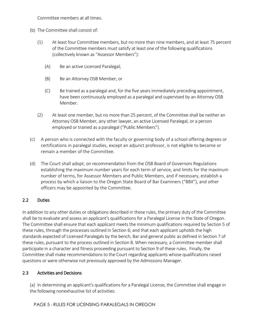Committee members at all times.

- (b) The Committee shall consist of:
	- (1) At least four Committee members, but no more than nine members, and at least 75 percent of the Committee members must satisfy at least one of the following qualifications (collectively known as "Assessor Members"):
		- (A) Be an active Licensed Paralegal;
		- (B) Be an Attorney OSB Member; or
		- (C) Be trained as a paralegal and, for the five years immediately preceding appointment, have been continuously employed as a paralegal and supervised by an Attorney OSB Member.
	- (2) At least one member, but no more than 25 percent, of the Committee shall be neither an Attorney OSB Member, any other lawyer, an active Licensed Paralegal, or a person employed or trained as a paralegal ("Public Members").
- (c) A person who is connected with the faculty or governing body of a school offering degrees or certifications in paralegal studies, except an adjunct professor, is not eligible to become or remain a member of the Committee.
- (d) The Court shall adopt, on recommendation from the OSB Board of Governors Regulations establishing the maximum number years for each term of service, and limits for the maximum number of terms, for Assessor Members and Public Members, and if necessary, establish a process by which a liaison to the Oregon State Board of Bar Examiners ("BBX"), and other officers may be appointed by the Committee.

# 2.2 Duties

In addition to any other duties or obligations described in these rules, the primary duty of the Committee shall be to evaluate and assess an applicant's qualifications for a Paralegal License in the State of Oregon. The Committee shall ensure that each applicant meets the minimum qualifications required by Section 5 of these rules, through the processes outlined in Section 6; and that each applicant upholds the high standards expected of Licensed Paralegals by the bench, Bar and general public as defined in Section 7 of these rules, pursuant to the process outlined in Section 8. When necessary, a Committee member shall participate in a character and fitness proceeding pursuant to Section 9 of these rules. Finally, the Committee shall make recommendations to the Court regarding applicants whose qualifications raised questions or were otherwise not previously approved by the Admissions Manager.

# 2.3 Activities and Decisions

(a) In determining an applicant's qualifications for a Paralegal License, the Committee shall engage in the following nonexhaustive list of activities: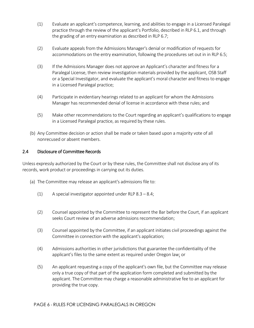- (1) Evaluate an applicant's competence, learning, and abilities to engage in a Licensed Paralegal practice through the review of the applicant's Portfolio, described in RLP 6.1, and through the grading of an entry examination as described in RLP 6.7;
- (2) Evaluate appeals from the Admissions Manager's denial or modification of requests for accommodations on the entry examination, following the procedures set out in in RLP 6.5;
- (3) If the Admissions Manager does not approve an Applicant's character and fitness for a Paralegal License, then review investigation materials provided by the applicant, OSB Staff or a Special Investigator, and evaluate the applicant's moral character and fitness to engage in a Licensed Paralegal practice;
- (4) Participate in evidentiary hearings related to an applicant for whom the Admissions Manager has recommended denial of license in accordance with these rules; and
- (5) Make other recommendations to the Court regarding an applicant's qualifications to engage in a Licensed Paralegal practice, as required by these rules.
- (b) Any Committee decision or action shall be made or taken based upon a majority vote of all nonrecused or absent members.

# 2.4 Disclosure of Committee Records

Unless expressly authorized by the Court or by these rules, the Committee shall not disclose any of its records, work product or proceedings in carrying out its duties.

- (a) The Committee may release an applicant's admissions file to:
	- (1) A special investigator appointed under RLP 8.3 8.4;
	- (2) Counsel appointed by the Committee to represent the Bar before the Court, if an applicant seeks Court review of an adverse admissions recommendation;
	- (3) Counsel appointed by the Committee, if an applicant initiates civil proceedings against the Committee in connection with the applicant's application;
	- (4) Admissions authorities in other jurisdictions that guarantee the confidentiality of the applicant's files to the same extent as required under Oregon law; or
	- (5) An applicant requesting a copy of the applicant's own file, but the Committee may release only a true copy of that part of the application form completed and submitted by the applicant. The Committee may charge a reasonable administrative fee to an applicant for providing the true copy.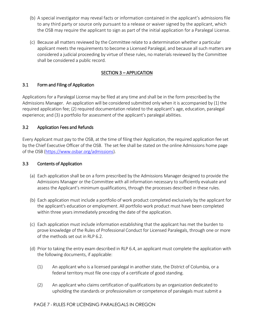- (b) A special investigator may reveal facts or information contained in the applicant's admissions file to any third party or source only pursuant to a release or waiver signed by the applicant, which the OSB may require the applicant to sign as part of the initial application for a Paralegal License.
- (c) Because all matters reviewed by the Committee relate to a determination whether a particular applicant meets the requirements to become a Licensed Paralegal, and because all such matters are considered a judicial proceeding by virtue of these rules, no materials reviewed by the Committee shall be considered a public record.

# SECTION 3 – APPLICATION

# 3.1 Form and Filing of Application

Applications for a Paralegal License may be filed at any time and shall be in the form prescribed by the Admissions Manager. An application will be considered submitted only when it is accompanied by (1) the required application fee; (2) required documentation related to the applicant's age, education, paralegal experience; and (3) a portfolio for assessment of the applicant's paralegal abilities.

# 3.2 Application Fees and Refunds

Every Applicant must pay to the OSB, at the time of filing their Application, the required application fee set by the Chief Executive Officer of the OSB. The set fee shall be stated on the online Admissions home page of the OSB [\(https://www.osbar.org/admissions\)](https://www.osbar.org/admissions).

# 3.3 Contents of Application

- (a) Each application shall be on a form prescribed by the Admissions Manager designed to provide the Admissions Manager or the Committee with all information necessary to sufficiently evaluate and assess the Applicant's minimum qualifications, through the processes described in these rules.
- (b) Each application must include a portfolio of work product completed exclusively by the applicant for the applicant's education or employment. All portfolio work product must have been completed within three years immediately preceding the date of the application.
- (c) Each application must include information establishing that the applicant has met the burden to prove knowledge of the Rules of Professional Conduct for Licensed Paralegals, through one or more of the methods set out in RLP 6.2.
- (d) Prior to taking the entry exam described in RLP 6.4, an applicant must complete the application with the following documents, if applicable:
	- (1) An applicant who is a licensed paralegal in another state, the District of Columbia, or a federal territory must file one copy of a certificate of good standing.
	- (2) An applicant who claims certification of qualifications by an organization dedicated to upholding the standards or professionalism or competence of paralegals must submit a

## PAGE 7 - RULES FOR LICENSING PARALEGALS IN OREGON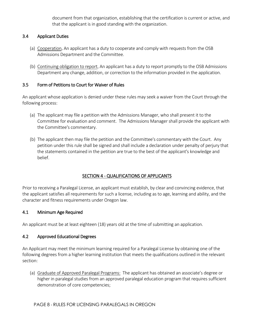document from that organization, establishing that the certification is current or active, and that the applicant is in good standing with the organization.

# 3.4 Applicant Duties

- (a) Cooperation. An applicant has a duty to cooperate and comply with requests from the OSB Admissions Department and the Committee.
- (b) Continuing obligation to report. An applicant has a duty to report promptly to the OSB Admissions Department any change, addition, or correction to the information provided in the application.

# 3.5 Form of Petitions to Court for Waiver of Rules

An applicant whose application is denied under these rules may seek a waiver from the Court through the following process:

- (a) The applicant may file a petition with the Admissions Manager, who shall present it to the Committee for evaluation and comment. The Admissions Manager shall provide the applicant with the Committee's commentary.
- (b) The applicant then may file the petition and the Committee's commentary with the Court. Any petition under this rule shall be signed and shall include a declaration under penalty of perjury that the statements contained in the petition are true to the best of the applicant's knowledge and belief.

# SECTION 4 - QUALIFICATIONS OF APPLICANTS

Prior to receiving a Paralegal License, an applicant must establish, by clear and convincing evidence, that the applicant satisfies all requirements for such a license, including as to age, learning and ability, and the character and fitness requirements under Oregon law.

## 4.1 Minimum Age Required

An applicant must be at least eighteen (18) years old at the time of submitting an application.

## 4.2 Approved Educational Degrees

An Applicant may meet the minimum learning required for a Paralegal License by obtaining one of the following degrees from a higher learning institution that meets the qualifications outlined in the relevant section:

(a) Graduate of Approved Paralegal Programs: The applicant has obtained an associate's degree or higher in paralegal studies from an approved paralegal education program that requires sufficient demonstration of core competencies;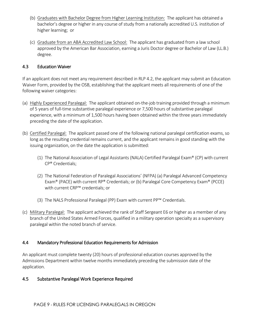- (b) Graduates with Bachelor Degree from Higher Learning Institution: The applicant has obtained a bachelor's degree or higher in any course of study from a nationally accredited U.S. institution of higher learning; or
- (c) Graduate from an ABA Accredited Law School: The applicant has graduated from a law school approved by the American Bar Association, earning a Juris Doctor degree or Bachelor of Law (LL.B.) degree.

# 4.3 Education Waiver

If an applicant does not meet any requirement described in RLP 4.2, the applicant may submit an Education Waiver Form, provided by the OSB, establishing that the applicant meets all requirements of one of the following waiver categories:

- (a) Highly Experienced Paralegal: The applicant obtained on-the-job training provided through a minimum of 5 years of full-time substantive paralegal experience or 7,500 hours of substantive paralegal experience, with a minimum of 1,500 hours having been obtained within the three years immediately preceding the date of the application.
- (b) Certified Paralegal: The applicant passed one of the following national paralegal certification exams, so long as the resulting credential remains current, and the applicant remains in good standing with the issuing organization, on the date the application is submitted:
	- (1) The National Association of Legal Assistants (NALA) Certified Paralegal Exam® (CP) with current CP® Credentials;
	- (2) The National Federation of Paralegal Associations' (NFPA) (a) Paralegal Advanced Competency Exam® (PACE) with current RP® Credentials; or (b) Paralegal Core Competency Exam® (PCCE) with current CRP™ credentials; or
	- (3) The NALS Professional Paralegal (PP) Exam with current PP™ Credentials.
- (c) Military Paralegal: The applicant achieved the rank of Staff Sergeant E6 or higher as a member of any branch of the United States Armed Forces, qualified in a military operation specialty as a supervisory paralegal within the noted branch of service.

# 4.4 Mandatory Professional Education Requirements for Admission

An applicant must complete twenty (20) hours of professional education courses approved by the Admissions Department within twelve months immediately preceding the submission date of the application.

# 4.5 Substantive Paralegal Work Experience Required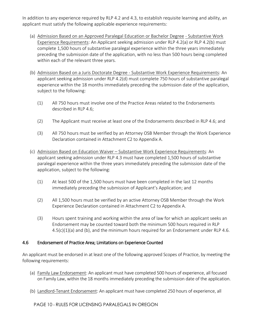In addition to any experience required by RLP 4.2 and 4.3, to establish requisite learning and ability, an applicant must satisfy the following applicable experience requirements:

- (a) Admission Based on an Approved Paralegal Education or Bachelor Degree Substantive Work Experience Requirements: An Applicant seeking admission under RLP 4.2(a) or RLP 4.2(b) must complete 1,500 hours of substantive paralegal experience within the three years immediately preceding the submission date of the application, with no less than 500 hours being completed within each of the relevant three years.
- (b) Admission Based on a Juris Doctorate Degree Substantive Work Experience Requirements: An applicant seeking admission under RLP 4.2(d) must complete 750 hours of substantive paralegal experience within the 18 months immediately preceding the submission date of the application, subject to the following:
	- (1) All 750 hours must involve one of the Practice Areas related to the Endorsements described in RLP 4.6;
	- (2) The Applicant must receive at least one of the Endorsements described in RLP 4.6; and
	- (3) All 750 hours must be verified by an Attorney OSB Member through the Work Experience Declaration contained in Attachment C2 to Appendix A.
- (c) Admission Based on Education Waiver Substantive Work Experience Requirements: An applicant seeking admission under RLP 4.3 must have completed 1,500 hours of substantive paralegal experience within the three years immediately preceding the submission date of the application, subject to the following:
	- (1) At least 500 of the 1,500 hours must have been completed in the last 12 months immediately preceding the submission of Applicant's Application; and
	- (2) All 1,500 hours must be verified by an active Attorney OSB Member through the Work Experience Declaration contained in Attachment C2 to Appendix A.
	- (3) Hours spent training and working within the area of law for which an applicant seeks an Endorsement may be counted toward both the minimum 500 hours required in RLP  $4.5(c)(1)(a)$  and (b), and the minimum hours required for an Endorsement under RLP 4.6.

## 4.6 Endorsement of Practice Area; Limitations on Experience Counted

An applicant must be endorsed in at least one of the following approved Scopes of Practice, by meeting the following requirements:

- (a) Family Law Endorsement: An applicant must have completed 500 hours of experience, all focused on Family Law, within the 18 months immediately preceding the submission date of the application.
- (b) Landlord-Tenant Endorsement: An applicant must have completed 250 hours of experience, all

PAGE 10 - RULES FOR LICENSING PARALEGALS IN OREGON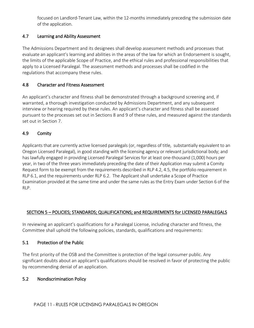focused on Landlord-Tenant Law, within the 12-months immediately preceding the submission date of the application.

# 4.7 Learning and Ability Assessment

The Admissions Department and its designees shall develop assessment methods and processes that evaluate an applicant's learning and abilities in the areas of the law for which an Endorsement is sought, the limits of the applicable Scope of Practice, and the ethical rules and professional responsibilities that apply to a Licensed Paralegal. The assessment methods and processes shall be codified in the regulations that accompany these rules.

# 4.8 Character and Fitness Assessment

An applicant's character and fitness shall be demonstrated through a background screening and, if warranted, a thorough investigation conducted by Admissions Department, and any subsequent interview or hearing required by these rules. An applicant's character and fitness shall be assessed pursuant to the processes set out in Sections 8 and 9 of these rules, and measured against the standards set out in Section 7.

# 4.9 Comity

Applicants that are currently active licensed paralegals (or, regardless of title, substantially equivalent to an Oregon Licensed Paralegal), in good standing with the licensing agency or relevant jurisdictional body; and has lawfully engaged in providing Licensed Paralegal Services for at least one-thousand (1,000) hours per year, in two of the three years immediately preceding the date of their Application may submit a Comity Request form to be exempt from the requirements described in RLP 4.2, 4.5, the portfolio requirement in RLP 6.1, and the requirements under RLP 6.2. The Applicant shall undertake a Scope of Practice Examination provided at the same time and under the same rules as the Entry Exam under Section 6 of the RLP.

# SECTION 5 – POLICIES; STANDARDS; QUALIFICATIONS; and REQUIREMENTS for LICENSED PARALEGALS

In reviewing an applicant's qualifications for a Paralegal License, including character and fitness, the Committee shall uphold the following policies, standards, qualifications and requirements:

# 5.1 Protection of the Public

The first priority of the OSB and the Committee is protection of the legal consumer public. Any significant doubts about an applicant's qualifications should be resolved in favor of protecting the public by recommending denial of an application.

# 5.2 Nondiscrimination Policy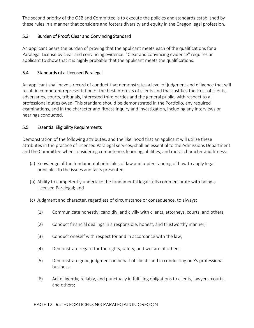The second priority of the OSB and Committee is to execute the policies and standards established by these rules in a manner that considers and fosters diversity and equity in the Oregon legal profession.

# 5.3 Burden of Proof; Clear and Convincing Standard

An applicant bears the burden of proving that the applicant meets each of the qualifications for a Paralegal License by clear and convincing evidence. "Clear and convincing evidence" requires an applicant to show that it is highly probable that the applicant meets the qualifications.

# 5.4 Standards of a Licensed Paralegal

An applicant shall have a record of conduct that demonstrates a level of judgment and diligence that will result in competent representation of the best interests of clients and that justifies the trust of clients, adversaries, courts, tribunals, interested third parties and the general public, with respect to all professional duties owed. This standard should be demonstrated in the Portfolio, any required examinations, and in the character and fitness inquiry and investigation, including any interviews or hearings conducted.

# 5.5 Essential Eligibility Requirements

Demonstration of the following attributes, and the likelihood that an applicant will utilize these attributes in the practice of Licensed Paralegal services, shall be essential to the Admissions Department and the Committee when considering competence, learning, abilities, and moral character and fitness:

- (a) Knowledge of the fundamental principles of law and understanding of how to apply legal principles to the issues and facts presented;
- (b) Ability to competently undertake the fundamental legal skills commensurate with being a Licensed Paralegal; and
- (c) Judgment and character, regardless of circumstance or consequence, to always:
	- (1) Communicate honestly, candidly, and civilly with clients, attorneys, courts, and others;
	- (2) Conduct financial dealings in a responsible, honest, and trustworthy manner;
	- (3) Conduct oneself with respect for and in accordance with the law;
	- (4) Demonstrate regard for the rights, safety, and welfare of others;
	- (5) Demonstrate good judgment on behalf of clients and in conducting one's professional business;
	- (6) Act diligently, reliably, and punctually in fulfilling obligations to clients, lawyers, courts, and others;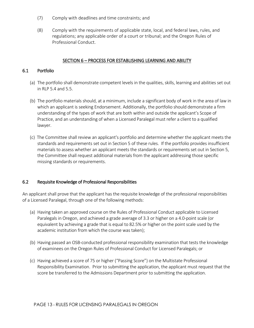- (7) Comply with deadlines and time constraints; and
- (8) Comply with the requirements of applicable state, local, and federal laws, rules, and regulations; any applicable order of a court or tribunal; and the Oregon Rules of Professional Conduct.

# SECTION 6 – PROCESS FOR ESTABLISHING LEARNING AND ABILITY

# 6.1 Portfolio

- (a) The portfolio shall demonstrate competent levels in the qualities, skills, learning and abilities set out in RLP 5.4 and 5.5.
- (b) The portfolio materials should, at a minimum, include a significant body of work in the area of law in which an applicant is seeking Endorsement. Additionally, the portfolio should demonstrate a firm understanding of the types of work that are both within and outside the applicant's Scope of Practice, and an understanding of when a Licensed Paralegal must refer a client to a qualified lawyer.
- (c) The Committee shall review an applicant's portfolio and determine whether the applicant meets the standards and requirements set out in Section 5 of these rules. If the portfolio provides insufficient materials to assess whether an applicant meets the standards or requirements set out in Section 5, the Committee shall request additional materials from the applicant addressing those specific missing standards or requirements.

## 6.2 Requisite Knowledge of Professional Responsibilities

An applicant shall prove that the applicant has the requisite knowledge of the professional responsibilities of a Licensed Paralegal, through one of the following methods:

- (a) Having taken an approved course on the Rules of Professional Conduct applicable to Licensed Paralegals in Oregon, and achieved a grade average of 3.3 or higher on a 4.0-point scale (or equivalent by achieving a grade that is equal to 82.5% or higher on the point scale used by the academic institution from which the course was taken);
- (b) Having passed an OSB-conducted professional responsibility examination that tests the knowledge of examinees on the Oregon Rules of Professional Conduct for Licensed Paralegals; or
- (c) Having achieved a score of 75 or higher ("Passing Score") on the Multistate Professional Responsibility Examination. Prior to submitting the application, the applicant must request that the score be transferred to the Admissions Department prior to submitting the application.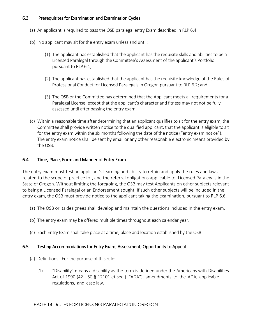# 6.3 Prerequisites for Examination and Examination Cycles

- (a) An applicant is required to pass the OSB paralegal entry Exam described in RLP 6.4.
- (b) No applicant may sit for the entry exam unless and until:
	- (1) The applicant has established that the applicant has the requisite skills and abilities to be a Licensed Paralegal through the Committee's Assessment of the applicant's Portfolio pursuant to RLP 6.1;
	- (2) The applicant has established that the applicant has the requisite knowledge of the Rules of Professional Conduct for Licensed Paralegals in Oregon pursuant to RLP 6.2; and
	- (3) The OSB or the Committee has determined that the Applicant meets all requirements for a Paralegal License, except that the applicant's character and fitness may not not be fully assessed until after passing the entry exam.
- (c) Within a reasonable time after determining that an applicant qualifies to sit for the entry exam, the Committee shall provide written notice to the qualified applicant, that the applicant is eligible to sit for the entry exam within the six months following the date of the notice ("entry exam notice"). The entry exam notice shall be sent by email or any other reasonable electronic means provided by the OSB.

## 6.4 Time, Place, Form and Manner of Entry Exam

The entry exam must test an applicant's learning and ability to retain and apply the rules and laws related to the scope of practice for, and the referral obligations applicable to, Licensed Paralegals in the State of Oregon. Without limiting the foregoing, the OSB may test Applicants on other subjects relevant to being a Licensed Paralegal or an Endorsement sought. If such other subjects will be included in the entry exam, the OSB must provide notice to the applicant taking the examination, pursuant to RLP 6.6.

- (a) The OSB or its designees shall develop and maintain the questions included in the entry exam.
- (b) The entry exam may be offered multiple times throughout each calendar year.
- (c) Each Entry Exam shall take place at a time, place and location established by the OSB.

#### 6.5 Testing Accommodations for Entry Exam; Assessment; Opportunity to Appeal

- (a) Definitions. For the purpose of this rule:
	- (1) "Disability" means a disability as the term is defined under the Americans with Disabilities Act of 1990 (42 USC § 12101 et seq.) ("ADA"), amendments to the ADA, applicable regulations, and case law.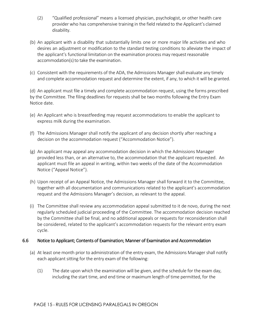- (2) "Qualified professional" means a licensed physician, psychologist, or other health care provider who has comprehensive training in the field related to the Applicant's claimed disability.
- (b) An applicant with a disability that substantially limits one or more major life activities and who desires an adjustment or modification to the standard testing conditions to alleviate the impact of the applicant's functional limitation on the examination process may request reasonable accommodation(s) to take the examination.
- (c) Consistent with the requirements of the ADA, the Admissions Manager shall evaluate any timely and complete accommodation request and determine the extent, if any, to which it will be granted.

(d) An applicant must file a timely and complete accommodation request, using the forms prescribed by the Committee. The filing deadlines for requests shall be two months following the Entry Exam Notice date.

- (e) An Applicant who is breastfeeding may request accommodations to enable the applicant to express milk during the examination.
- (f) The Admissions Manager shall notify the applicant of any decision shortly after reaching a decision on the accommodation request ("Accommodation Notice").
- (g) An applicant may appeal any accommodation decision in which the Admissions Manager provided less than, or an alternative to, the accommodation that the applicant requested. An applicant must file an appeal in writing, within two weeks of the date of the Accommodation Notice ("Appeal Notice").
- (h) Upon receipt of an Appeal Notice, the Admissions Manager shall forward it to the Committee, together with all documentation and communications related to the applicant's accommodation request and the Admissions Manager's decision, as relevant to the appeal.
- (i) The Committee shall review any accommodation appeal submitted to it de novo, during the next regularly scheduled judicial proceeding of the Committee. The accommodation decision reached by the Committee shall be final, and no additional appeals or requests for reconsideration shall be considered, related to the applicant's accommodation requests for the relevant entry exam cycle.

# 6.6 Notice to Applicant; Contents of Examination; Manner of Examination and Accommodation

- (a) At least one month prior to administration of the entry exam, the Admissions Manager shall notify each applicant sitting for the entry exam of the following:
	- (1) The date upon which the examination will be given, and the schedule for the exam day, including the start time, and end time or maximum length of time permitted, for the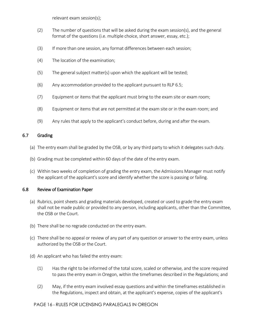relevant exam session(s);

- (2) The number of questions that will be asked during the exam session(s), and the general format of the questions (i.e. multiple choice, short answer, essay, etc.);
- (3) If more than one session, any format differences between each session;
- (4) The location of the examination;
- (5) The general subject matter(s) upon which the applicant will be tested;
- (6) Any accommodation provided to the applicant pursuant to RLP 6.5;
- (7) Equipment or items that the applicant must bring to the exam site or exam room;
- (8) Equipment or items that are not permitted at the exam site or in the exam room; and
- (9) Any rules that apply to the applicant's conduct before, during and after the exam.

#### 6.7 Grading

- (a) The entry exam shall be graded by the OSB, or by any third party to which it delegates such duty.
- (b) Grading must be completed within 60 days of the date of the entry exam.
- (c) Within two weeks of completion of grading the entry exam, the Admissions Manager must notify the applicant of the applicant's score and identify whether the score is passing or failing.

#### 6.8 Review of Examination Paper

- (a) Rubrics, point sheets and grading materials developed, created or used to grade the entry exam shall not be made public or provided to any person, including applicants, other than the Committee, the OSB or the Court.
- (b) There shall be no regrade conducted on the entry exam.
- (c) There shall be no appeal or review of any part of any question or answer to the entry exam, unless authorized by the OSB or the Court.
- (d) An applicant who has failed the entry exam:
	- (1) Has the right to be informed of the total score, scaled or otherwise, and the score required to pass the entry exam in Oregon, within the timeframes described in the Regulations; and
	- (2) May, if the entry exam involved essay questions and within the timeframes established in the Regulations, inspect and obtain, at the applicant's expense, copies of the applicant's

#### PAGE 16 - RULES FOR LICENSING PARALEGALS IN OREGON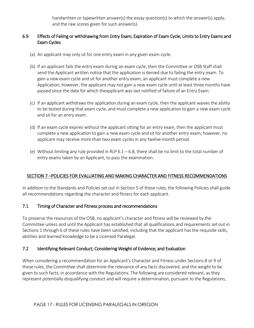handwritten or typewritten answer(s) the essay question(s) to which the answer(s) apply, and the raw scores given for such answer(s).

# 6.9 Effects of Failing or withdrawing from Entry Exam; Expiration of Exam Cycle; Limits to Entry Exams and Exam Cycles

- (a) An applicant may only sit for one entry exam in any given exam cycle.
- (b) If an applicant fails the entry exam during an exam cycle, then the Committee or OSB Staffshall send the Applicant written notice that the application is denied due to failing the entry exam. To gain a new exam cycle and sit for another entry exam, an applicant must complete a new Application; however, the applicant may not gain a new exam cycle until at least three months have passed since the date for which theapplicant was last notified of failure of an Entry Exam.
- (c) If an applicant withdraws the application during an exam cycle, then the applicant waives the ability to be tested during that exam cycle, and must complete a new application to gain a new exam cycle and sit for an entry exam.
- (d) If an exam cycle expires without the applicant sitting for an entry exam, then the applicant must complete a new application to gain a new exam cycle and sit for another entry exam; however, no applicant may receive more than two exam cycles in any twelve-month period.
- (e) Without limiting any rule provided in RLP  $6.1 6.8$ , there shall be no limit to the total number of entry exams taken by an Applicant, to pass the examination.

# SECTION 7 –POLICIES FOR EVALUATING AND MAKING CHARACTER AND FITNESS RECOMMENDATIONS

In addition to the Standards and Policies set out in Section 5 of these rules, the following Policies shall guide all recommendations regarding the character and fitness for each applicant.

# 7.1 Timing of Character and Fitness process and recommendations

To preserve the resources of the OSB, no applicant's character and fitness will be reviewed by the Committee unless and until the Applicant has established that all qualifications and requirements set out in Sections 1 through 6 of these rules have been satisfied, including that the applicant has the requisite skills, abilities and learned knowledge to be a Licensed Paralegal.

# 7.2 Identifying Relevant Conduct; Considering Weight of Evidence; and Evaluation

When considering a recommendation for an Applicant's Character and Fitness under Sections 8 or 9 of these rules, the Committee shall determine the relevance of any facts discovered, and the weight to be given to such facts, in accordance with the Regulations. The following are considered relevant, as they represent potentially disqualifying conduct and will require a determination, pursuant to the Regulations,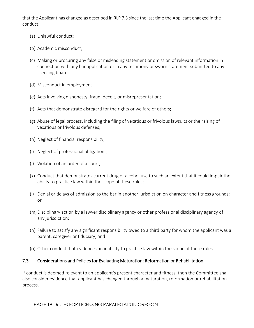that the Applicant has changed as described in RLP 7.3 since the last time the Applicant engaged in the conduct:

- (a) Unlawful conduct;
- (b) Academic misconduct;
- (c) Making or procuring any false or misleading statement or omission of relevant information in connection with any bar application or in any testimony or sworn statement submitted to any licensing board;
- (d) Misconduct in employment;
- (e) Acts involving dishonesty, fraud, deceit, or misrepresentation;
- (f) Acts that demonstrate disregard for the rights or welfare of others;
- (g) Abuse of legal process, including the filing of vexatious or frivolous lawsuits or the raising of vexatious or frivolous defenses;
- (h) Neglect of financial responsibility;
- (i) Neglect of professional obligations;
- (j) Violation of an order of a court;
- (k) Conduct that demonstrates current drug or alcohol use to such an extent that it could impair the ability to practice law within the scope of these rules;
- (l) Denial or delays of admission to the bar in another jurisdiction on character and fitness grounds; or
- (m)Disciplinary action by a lawyer disciplinary agency or other professional disciplinary agency of any jurisdiction;
- (n) Failure to satisfy any significant responsibility owed to a third party for whom the applicant was a parent, caregiver or fiduciary; and
- (o) Other conduct that evidences an inability to practice law within the scope of these rules.

## 7.3 Considerations and Policies for Evaluating Maturation; Reformation or Rehabilitation

If conduct is deemed relevant to an applicant's present character and fitness, then the Committee shall also consider evidence that applicant has changed through a maturation, reformation or rehabilitation process.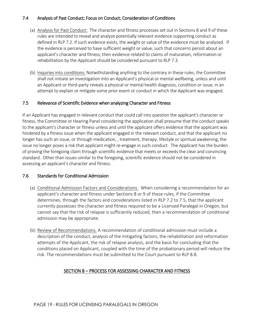# 7.4 Analysis of Past Conduct; Focus on Conduct; Consideration of Conditions

- (a) Analysis for Past Conduct: The character and fitness processes set out in Sections 8 and 9 of these rules are intended to reveal and analyze potentially relevant evidence supporting conduct as defined in RLP 7.2. If such evidence exists, the weight or value of the evidence must be analyzed. If the evidence is perceived to have sufficient weight or value, such that concerns persist about an applicant's character and fitness, then evidence related to claims of maturation, reformation or rehabilitation by the Applicant should be considered pursuant to RLP 7.3.
- (b) Inquiries into conditions: Notwithstanding anything to the contrary in these rules, the Committee shall not initiate an investigation into an Applicant's physical or mental wellbeing, unless and until an Applicant or third-party reveals a physical or mental health diagnosis, condition or issue, in an attempt to explain or mitigate some prior event or conduct in which the Applicant was engaged.

#### 7.5 Relevance of Scientific Evidence when analyzing Character and Fitness

If an Applicant has engaged in relevant conduct that could call into question the applicant's character or fitness, the Committee or Hearing Panel considering the application shall presume that the conduct speaks to the applicant's character or fitness unless and until the applicant offers evidence that the applicant was hindered by a fitness issue when the applicant engaged in the relevant conduct, and that the applicant no longer has such an issue, or through medication, , treatment, therapy, lifestyle or spiritual awakening, the issue no longer poses a risk that applicant might re-engage in such conduct. The Applicant has the burden of proving the foregoing claim through scientific evidence that meets or exceeds the clear and convincing standard. Other than issues similar to the foregoing, scientific evidence should not be considered in assessing an applicant's character and fitness.

#### 7.6 Standards for Conditional Admission

- (a) Conditional Admission Factors and Considerations. When considering a recommendation for an applicant's character and fitness under Sections 8 or 9 of these rules, if the Committee determines, through the factors and considerations listed in RLP 7.2 to 7.5, that the applicant currently possesses the character and fitness required to be a Licensed Paralegal in Oregon, but cannot say that the risk of relapse is sufficiently reduced, then a recommendation of conditional admission may be appropriate.
- (b) Review of Recommendations. A recommendation of conditional admission must include a description of the conduct, analysis of the mitigating factors, the rehabilitation and reformation attempts of the Applicant, the risk of relapse analysis, and the basis for concluding that the conditions placed on Applicant, coupled with the time of the probationary period will reduce the risk. The recommendations must be submitted to the Court pursuant to RLP 8.8.

## SECTION 8 – PROCESS FOR ASSESSING CHARACTER AND FITNESS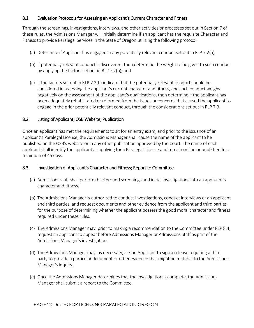# 8.1 Evaluation Protocols for Assessing an Applicant's Current Character and Fitness

Through the screenings, investigations, interviews, and other activities or processes set out in Section 7 of these rules, the Admissions Manager will initially determine if an applicant has the requisite Character and Fitness to provide Paralegal Services in the State of Oregon utilizing the following protocol:

- (a) Determine if Applicant has engaged in any potentially relevant conduct set out in RLP 7.2(a);
- (b) If potentially relevant conduct is discovered, then determine the weight to be given to such conduct by applying the factors set out in RLP 7.2(b); and
- (c) If the factors set out in RLP 7.2(b) indicate that the potentially relevant conduct should be considered in assessing the applicant's current character and fitness, and such conduct weighs negatively on the assessment of the applicant's qualifications, then determine if the applicant has been adequately rehabilitated or reformed from the issues or concerns that caused the applicant to engage in the prior potentially relevant conduct, through the considerations set out in RLP 7.3.

#### 8.2 Listing of Applicant; OSB Website; Publication

Once an applicant has met the requirements to sit for an entry exam, and prior to the issuance of an applicant's Paralegal License, the Admissions Manager shall cause the name of the applicant to be published on the OSB's website or in any other publication approved by the Court. The name of each applicant shall identify the applicant as applying for a Paralegal License and remain online or published for a minimum of 45 days.

## 8.3 Investigation of Applicant's Character and Fitness; Report to Committee

- (a) Admissions staff shall perform background screenings and initial investigations into an applicant's character and fitness.
- (b) The Admissions Manager is authorized to conduct investigations, conduct interviews of an applicant and third parties, and request documents and other evidence from the applicant and third parties for the purpose of determining whether the applicant possess the good moral character and fitness required under these rules.
- (c) The Admissions Manager may, prior to making a recommendation to the Committee under RLP 8.4, request an applicant to appear before Admissions Manager or Admissions Staff as part of the Admissions Manager's investigation.
- (d) The Admissions Manager may, as necessary, ask an Applicant to sign a release requiring a third party to provide a particular document or other evidence that might be material to the Admissions Manager's inquiry.
- (e) Once the Admissions Manager determines that the investigation is complete, the Admissions Manager shall submit a report to the Committee.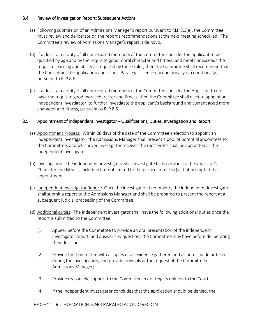# 8.4 Review of Investigation Report; Subsequent Actions

- (a) Following submission of an Admissions Manager's report pursuant to RLP 8.3(e), the Committee must review and deliberate on the report's recommendations at the next meeting scheduled. The Committee's review of Admissions Manager's report is de novo.
- (b) If at least a majority of all nonrecused members of the Committee consider the applicant to be qualified by age and by the requisite good moral character and fitness, and meets or exceeds the requisite learning and ability as required by these rules, then the Committee shall recommend that the Court grant the application and issue a Paralegal License unconditionally or conditionally, pursuant to RLP 8.6.
- (c) If at least a majority of all nonrecused members of the Committee consider the Applicant to not have the requisite good moral character and fitness, then the Committee shall elect to appoint an independent investigator, to further investigate the applicant's background and current good moral character and fitness, pursuant to RLP 8.5.

## 8.5 Appointment of Independent Investigator – Qualifications, Duties, Investigation and Report

- (a) Appointment Process: Within 28 days of the date of the Committee's election to appoint an independent investigator, the Admissions Manager shall present a pool of potential appointees to the Committee, and whichever investigator receives the most votes shall be appointed as the independent investigator.
- (b) Investigation: The independent investigator shall investigate facts relevant to the applicant's Character and Fitness, including but not limited to the particular matter(s) that prompted the appointment.
- (c) Independent Investigator Report: Once the investigation is complete, the independent investigator shall submit a report to the Admissions Manager and shall be prepared to present the report at a subsequent judicial proceeding of the Committee.
- (d) Additional duties: The independent investigator shall have the following additional duties once the report is submitted to the Committee:
	- (1) Appear before the Committee to provide an oral presentation of the independent investigator report, and answer any questions the Committee may have before deliberating their decision;
	- (2) Provide the Committee with a copies of all evidence gathered and all notes made or taken during the investigation, and provide originals at the request of the Committee or Admissions Manager;
	- (3) Provide reasonable support to the Committee in drafting its opinion to the Court;
	- (4) If the Independent Investigator concludes that the application should be denied, the

## PAGE 21 - RULES FOR LICENSING PARALEGALS IN OREGON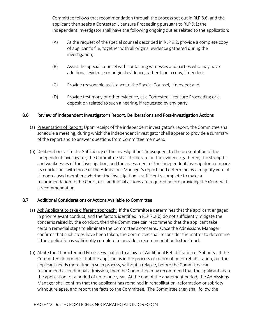Committee follows that recommendation through the process set out in RLP 8.6, and the applicant then seeks a Contested Licensure Proceeding pursuant to RLP 9.1; the Independent Investigator shall have the following ongoing duties related to the application:

- (A) At the request of the special counsel described in RLP 9.2, provide a complete copy of applicant's file, together with all original evidence gathered during the investigation;
- (B) Assist the Special Counsel with contacting witnesses and parties who may have additional evidence or original evidence, rather than a copy, if needed;
- (C) Provide reasonable assistance to the Special Counsel, if needed; and
- (D) Provide testimony or other evidence, at a Contested Licensure Proceeding or a deposition related to such a hearing, if requested by any party.

# 8.6 Review of Independent Investigator's Report, Deliberations and Post-Investigation Actions

- (a) Presentation of Report: Upon receipt of the independent investigator's report, the Committee shall schedule a meeting, during which the independent investigator shall appear to provide a summary of the report and to answer questions from Committee members.
- (b) Deliberations as to the Sufficiency of the Investigation: Subsequent to the presentation of the independent investigator, the Committee shall deliberate on the evidence gathered, the strengths and weaknesses of the investigation, and the assessment of the independent investigator; compare its conclusions with those of the Admissions Manager's report; and determine by a majority vote of all nonrecused members whether the investigation is sufficiently complete to make a recommendation to the Court, or if additional actions are required before providing the Court with a recommendation.

# 8.7 Additional Considerations or Actions Available to Committee

- (a) Ask Applicant to take different approach: If the Committee determines that the applicant engaged in prior relevant conduct, and the factors identified in RLP 7.2(b) do not sufficiently mitigate the concerns raised by the conduct, then the Committee can recommend that the applicant take certain remedial steps to eliminate the Committee's concerns. Once the Admissions Manager confirms that such steps have been taken, the Committee shall reconsider the matter to determine if the application is sufficiently complete to provide a recommendation to the Court.
- (b) Abate the Character and Fitness Evaluation to allow for Additional Rehabilitation or Sobriety: If the Committee determines that the applicant is in the process of reformation or rehabilitation, but the applicant needs more time in such process, without a relapse, before the Committee can recommend a conditional admission, then the Committee may recommend that the applicant abate the application for a period of up to one-year. At the end of the abatement period, the Admissions Manager shall confirm that the applicant has remained in rehabilitation, reformation or sobriety without relapse, and report the facts to the Committee. The Committee then shall follow the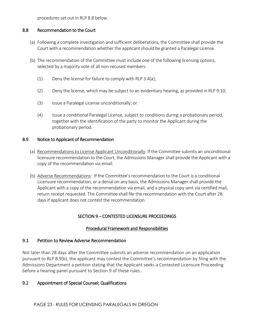procedures set out in RLP 8.8 below.

#### 8.8 Recommendation to the Court

- (a) Following a complete investigation and sufficient deliberations, the Committee shall provide the Court with a recommendation whether the applicant should be granted a Paralegal License.
- (b) The recommendation of the Committee must include one of the following licensing options, selected by a majority vote of all non-recused members:
	- (1) Deny the license for failure to comply with RLP 3.4(a);
	- (2) Deny the license, which may be subject to an evidentiary hearing, as provided in RLP 9.10;
	- (3) Issue a Paralegal License unconditionally; or
	- (4) Issue a conditional Paralegal License, subject to conditions during a probationary period, together with the identification of the party to monitor the Applicant during the probationary period.

#### 8.9 Notice to Applicant of Recommendation

- (a) Recommendations to License Applicant Unconditionally: If the Committee submits an unconditional licensure recommendation to the Court, the Admissions Manager shall provide the Applicant with a copy of the recommendation via email.
- (b) Adverse Recommendations: If the Committee's recommendation to the Court is a conditional Licensure recommendation, or a denial on any basis, the Admissions Manager shall provide the Applicant with a copy of the recommendation via email, and a physical copy sent via certified mail, return receipt requested. The Committee shall file the recommendation with the Court after 28 days if applicant does not contest the recommendation.

## SECTION 9 – CONTESTED LICENSURE PROCEEDINGS

## Procedural Framework and Responsibilities

#### 9.1 Petition to Review Adverse Recommendation

Not later than 28 days after the Committee submits an adverse recommendation on an application pursuant to RLP 8.9(b), the applicant may contest the Committee's recommendation by filing with the Admissions Department a petition stating that the Applicant seeks a Contested Licensure Proceeding before a hearing panel pursuant to Section 9 of these rules..

## 9.2 Appointment of Special Counsel; Qualifications

PAGE 23 - RULES FOR LICENSING PARALEGALS IN OREGON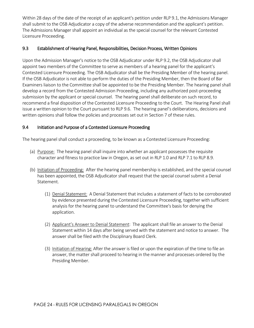Within 28 days of the date of the receipt of an applicant's petition under RLP 9.1, the Admissions Manager shall submit to the OSB Adjudicator a copy of the adverse recommendation and the applicant's petition. The Admissions Manager shall appoint an individual as the special counsel for the relevant Contested Licensure Proceeding.

# 9.3 Establishment of Hearing Panel, Responsibilities, Decision Process, Written Opinions

Upon the Admission Manager's notice to the OSB Adjudicator under RLP 9.2, the OSB Adjudicator shall appoint two members of the Committee to serve as members of a hearing panel for the applicant's Contested Licensure Proceeding. The OSB Adjudicator shall be the Presiding Member of the hearing panel. If the OSB Adjudicator is not able to perform the duties of the Presiding Member, then the Board of Bar Examiners liaison to the Committee shall be appointed to be the Presiding Member. The hearing panel shall develop a record from the Contested Admission Proceeding, including any authorized post-proceeding submission by the applicant or special counsel. The hearing panel shall deliberate on such record, to recommend a final disposition of the Contested Licensure Proceeding to the Court. The Hearing Panel shall issue a written opinion to the Court pursuant to RLP 9.6. The hearing panel's deliberations, decisions and written opinions shall follow the policies and processes set out in Section 7 of these rules.

# 9.4 Initiation and Purpose of a Contested Licensure Proceeding

The hearing panel shall conduct a proceeding, to be known as a Contested Licensure Proceeding:

- (a) Purpose: The hearing panel shall inquire into whether an applicant possesses the requisite character and fitness to practice law in Oregon, as set out in RLP 1.0 and RLP 7.1 to RLP 8.9.
- (b) Initiation of Proceeding: After the hearing panel membership is established, and the special counsel has been appointed, the OSB Adjudicator shall request that the special counsel submit a Denial Statement.
	- (1) Denial Statement: A Denial Statement that includes a statement of facts to be corroborated by evidence presented during the Contested Licensure Proceeding, together with sufficient analysis for the hearing panel to understand the Committee's basis for denying the application.
	- (2) Applicant's Answer to Denial Statement: The applicant shall file an answer to the Denial Statement within 14 days after being served with the statement and notice to answer. The answer shall be filed with the Disciplinary Board Clerk.
	- (3) Initiation of Hearing: After the answer is filed or upon the expiration of the time to file an answer, the matter shall proceed to hearing in the manner and processes ordered by the Presiding Member.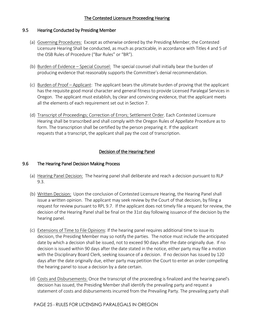# The Contested Licensure Proceeding Hearing

#### 9.5 Hearing Conducted by Presiding Member

- (a) Governing Procedures: Except as otherwise ordered by the Presiding Member, the Contested Licensure Hearing Shall be conducted, as much as practicable, in accordance with Titles 4 and 5 of the OSB Rules of Procedure ("Bar Rules" or "BR").
- (b) Burden of Evidence Special Counsel: The special counsel shall initially bear the burden of producing evidence that reasonably supports the Committee's denial recommendation.
- (c) Burden of Proof Applicant: The applicant bears the ultimate burden of proving that the applicant has the requisite good moral character and general fitness to provide Licensed Paralegal Services in Oregon. The applicant must establish, by clear and convincing evidence, that the applicant meets all the elements of each requirement set out in Section 7.
- (d) Transcript of Proceedings; Correction of Errors; Settlement Order. Each Contested Licensure Hearing shall be transcribed and shall comply with the Oregon Rules of Appellate Procedure as to form. The transcription shall be certified by the person preparing it. If the applicant requests that a transcript, the applicant shall pay the cost of transcription.

# Decision of the Hearing Panel

## 9.6 The Hearing Panel Decision Making Process

- (a) Hearing Panel Decision: The hearing panel shall deliberate and reach a decision pursuant to RLP 9.3.
- (b) Written Decision: Upon the conclusion of Contested Licensure Hearing, the Hearing Panel shall issue a written opinion. The applicant may seek review by the Court of that decision, by filing a request for review pursuant to RPL 9.7. If the applicant does not timely file a request for review, the decision of the Hearing Panel shall be final on the 31st day following issuance of the decision by the hearing panel.
- (c) Extensions of Time to File Opinions: If the hearing panel requires additional time to issue its decision, the Presiding Member may so notify the parties. The notice must include the anticipated date by which a decision shall be issued, not to exceed 90 days after the date originally due. If no decision is issued within 90 days after the date stated in the notice, either party may file a motion with the Disciplinary Board Clerk, seeking issuance of a decision. If no decision has issued by 120 days after the date originally due, either party may petition the Court to enter an order compelling the hearing panel to issue a decision by a date certain.
- (d) Costs and Disbursements: Once the transcript of the proceeding is finalized and the hearing panel's decision has issued, the Presiding Member shall identify the prevailing party and request a statement of costs and disbursements incurred from the Prevailing Party. The prevailing party shall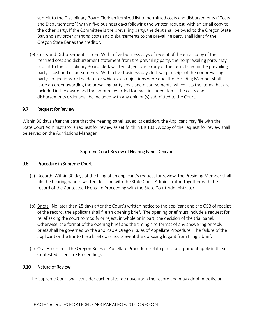submit to the Disciplinary Board Clerk an itemized list of permitted costs and disbursements ("Costs and Disbursements") within five business days following the written request, with an email copy to the other party. If the Committee is the prevailing party, the debt shall be owed to the Oregon State Bar, and any order granting costs and disbursements to the prevailing party shall identify the Oregon State Bar as the creditor.

(e) Costs and Disbursements Order: Within five business days of receipt of the email copy of the itemized cost and disbursement statement from the prevailing party, the nonprevailing party may submit to the Disciplinary Board Clerk written objections to any of the items listed in the prevailing party's cost and disbursements. Within five business days following receipt of the nonprevailing party's objections, or the date for which such objections were due, the Presiding Member shall issue an order awarding the prevailing party costs and disbursements, which lists the items that are included in the award and the amount awarded for each included item. The costs and disbursements order shall be included with any opinion(s) submitted to the Court.

## 9.7 Request for Review

Within 30 days after the date that the hearing panel issued its decision, the Applicant may file with the State Court Administrator a request for review as set forth in BR 13.8. A copy of the request for review shall be served on the Admissions Manager.

# Supreme Court Review of Hearing Panel Decision

#### 9.8 Procedure in Supreme Court

- (a) Record: Within 30 days of the filing of an applicant's request for review, the Presiding Member shall file the hearing panel's written decision with the State Court Administrator, together with the record of the Contested Licensure Proceeding with the State Court Administrator.
- (b) Briefs: No later than 28 days after the Court's written notice to the applicant and the OSB of receipt of the record, the applicant shall file an opening brief. The opening brief must include a request for relief asking the court to modify or reject, in whole or in part, the decision of the trial panel. Otherwise, the format of the opening brief and the timing and format of any answering or reply briefs shall be governed by the applicable Oregon Rules of Appellate Procedure. The failure of the applicant or the Bar to file a brief does not prevent the opposing litigant from filing a brief.
- (c) Oral Argument: The Oregon Rules of Appellate Procedure relating to oral argument apply in these Contested Licensure Proceedings.

#### 9.10 Nature of Review

The Supreme Court shall consider each matter de novo upon the record and may adopt, modify, or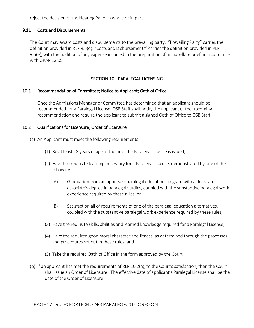reject the decision of the Hearing Panel in whole or in part.

#### 9.11 Costs and Disbursements

The Court may award costs and disbursements to the prevailing party. "Prevailing Party" carries the definition provided in RLP 9.6(d). "Costs and Disbursements" carries the definition provided in RLP 9.6(e), with the addition of any expense incurred in the preparation of an appellate brief, in accordance with ORAP 13.05.

#### SECTION 10 - PARALEGAL LICENSING

#### 10.1 Recommendation of Committee; Notice to Applicant; Oath of Office

Once the Admissions Manager or Committee has determined that an applicant should be recommended for a Paralegal License, OSB Staff shall notify the applicant of the upcoming recommendation and require the applicant to submit a signed Oath of Office to OSB Staff.

#### 10.2 Qualifications for Licensure; Order of Licensure

- (a) An Applicant must meet the following requirements:
	- (1) Be at least 18 years of age at the time the Paralegal License is issued;
	- (2) Have the requisite learning necessary for a Paralegal License, demonstrated by one of the following:
		- (A) Graduation from an approved paralegal education program with at least an associate's degree in paralegal studies, coupled with the substantive paralegal work experience required by these rules, or
		- (B) Satisfaction all of requirements of one of the paralegal education alternatives, coupled with the substantive paralegal work experience required by these rules;
	- (3) Have the requisite skills, abilities and learned knowledge required for a Paralegal License;
	- (4) Have the required good moral character and fitness, as determined through the processes and procedures set out in these rules; and
	- (5) Take the required Oath of Office in the form approved by the Court.
- (b) If an applicant has met the requirements of RLP 10.2(a), to the Court's satisfaction, then the Court shall issue an Order of Licensure. The effective date of applicant's Paralegal License shall be the date of the Order of Licensure.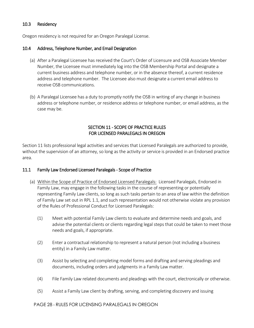## 10.3 Residency

Oregon residency is not required for an Oregon Paralegal License.

#### 10.4 Address, Telephone Number, and Email Designation

- (a) After a Paralegal Licensee has received the Court's Order of Licensure and OSB Associate Member Number, the Licensee must immediately log into the OSB Membership Portal and designate a current business address and telephone number, or in the absence thereof, a current residence address and telephone number. The Licensee also must designate a current email address to receive OSB communications.
- (b) A Paralegal Licensee has a duty to promptly notify the OSB in writing of any change in business address or telephone number, or residence address or telephone number, or email address, as the case may be.

# SECTION 11 - SCOPE OF PRACTICE RULES FOR LICENSED PARALEGALS IN OREGON

Section 11 lists professional legal activities and services that Licensed Paralegals are authorized to provide, without the supervision of an attorney, so long as the activity or service is provided in an Endorsed practice area.

#### 11.1 Family Law Endorsed Licensed Paralegals - Scope of Practice

- (a) Within the Scope of Practice of Endorsed Licensed Paralegals: Licensed Paralegals, Endorsed in Family Law, may engage in the following tasks in the course of representing or potentially representing Family Law clients, so long as such tasks pertain to an area of law within the definition of Family Law set out in RPL 1.1, and such representation would not otherwise violate any provision of the Rules of Professional Conduct for Licensed Paralegals:
	- (1) Meet with potential Family Law clients to evaluate and determine needs and goals, and advise the potential clients or clients regarding legal steps that could be taken to meet those needs and goals, if appropriate.
	- (2) Enter a contractual relationship to represent a natural person (not including a business entity) in a Family Law matter.
	- (3) Assist by selecting and completing model forms and drafting and serving pleadings and documents, including orders and judgments in a Family Law matter.
	- (4) File Family Law related documents and pleadings with the court, electronically or otherwise.
	- (5) Assist a Family Law client by drafting, serving, and completing discovery and issuing

#### PAGE 28 - RULES FOR LICENSING PARALEGALS IN OREGON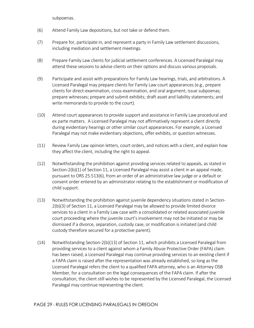subpoenas.

- (6) Attend Family Law depositions, but not take or defend them.
- (7) Prepare for, participate in, and represent a party in Family Law settlement discussions, including mediation and settlement meetings.
- (8) Prepare Family Law clients for judicial settlement conferences. A Licensed Paralegal may attend these sessions to advise clients on their options and discuss various proposals.
- (9) Participate and assist with preparations for Family Law hearings, trials, and arbitrations. A Licensed Paralegal may prepare clients for Family Law court appearances (e.g., prepare clients for direct-examination, cross-examination, and oral argument; issue subpoenas; prepare witnesses; prepare and submit exhibits; draft asset and liability statements; and write memoranda to provide to the court).
- (10) Attend court appearances to provide support and assistance in Family Law procedural and ex parte matters. A Licensed Paralegal may not affirmatively represent a client directly during evidentiary hearings or other similar court appearances. For example, a Licensed Paralegal may not make evidentiary objections, offer exhibits, or question witnesses.
- (11) Review Family Law opinion letters, court orders, and notices with a client, and explain how they affect the client, including the right to appeal.
- (12) Notwithstanding the prohibition against providing services related to appeals, as stated in Section-2(b)(1) of Section 11, a Licensed Paralegal may assist a client in an appeal made, pursuant to ORS 25.513(6), from an order of an administrative law judge or a default or consent order entered by an administrator relating to the establishment or modification of child support.
- (13) Notwithstanding the prohibition against juvenile dependency situations stated in Section-2(b)(3) of Section 11, a Licensed Paralegal may be allowed to provide limited divorce services to a client in a Family Law case with a consolidated or related associated juvenile court proceeding where the juvenile court's involvement may not be initiated or may be dismissed if a divorce, separation, custody case, or modification is initiated (and child custody therefore secured for a protective parent).
- (14) Notwithstanding Section-2(b)(13) of Section 11, which prohibits a Licensed Paralegal from providing services to a client against whom a Family Abuse Protective Order (FAPA) claim has been raised, a Licensed Paralegal may continue providing services to an existing client if a FAPA claim is raised after the representation was already established, so long as the Licensed Paralegal refers the client to a qualified FAPA attorney, who is an Attorney OSB Member, for a consultation on the legal consequences of the FAPA claim. If after the consultation, the client still wishes to be represented by the Licensed Paralegal, the Licensed Paralegal may continue representing the client.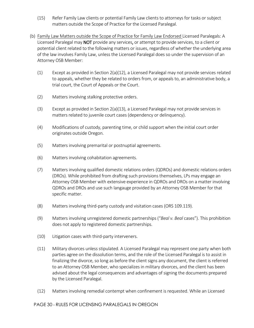- (15) Refer Family Law clients or potential Family Law clients to attorneys for tasks or subject matters outside the Scope of Practice for the Licensed Paralegal.
- (b) Family Law Matters outside the Scope of Practice for Family Law Endorsed Licensed Paralegals: A Licensed Paralegal may NOT provide any services, or attempt to provide services, to a client or potential client related to the following matters or issues, regardless of whether the underlying area of the law involves Family Law, unless the Licensed Paralegal does so under the supervision of an Attorney OSB Member:
	- (1) Except as provided in Section 2(a)(12), a Licensed Paralegal may not provide services related to appeals, whether they be related to orders from, or appeals to, an administrative body, a trial court, the Court of Appeals or the Court.
	- (2) Matters involving stalking protective orders.
	- (3) Except as provided in Section 2(a)(13), a Licensed Paralegal may not provide services in matters related to juvenile court cases (dependency or delinquency).
	- (4) Modifications of custody, parenting time, or child support when the initial court order originates outside Oregon.
	- (5) Matters involving premarital or postnuptial agreements.
	- (6) Matters involving cohabitation agreements.
	- (7) Matters involving qualified domestic relations orders (QDROs) and domestic relations orders (DROs). While prohibited from drafting such provisions themselves, LPs may engage an Attorney OSB Member with extensive experience in QDROs and DROs on a matter involving QDROs and DROs and use such langauge provided by an Attorney OSB Member for that specific matter.
	- (8) Matters involving third-party custody and visitation cases (ORS 109.119).
	- (9) Matters involving unregistered domestic partnerships ("*Beal v. Beal* cases"). This prohibition does not apply to registered domestic partnerships.
	- (10) Litigation cases with third-party interveners.
	- (11) Military divorces unless stipulated. A Licensed Paralegal may represent one party when both parties agree on the dissolution terms, and the role of the Licensed Paralegal is to assist in finalizing the divorce, so long as before the client signs any document, the client is referred to an Attorney OSB Member, who specializes in military divorces, and the client has been advised about the legal consequences and advantages of signing the documents prepared by the Licensed Paralegal.
	- (12) Matters involving remedial contempt when confinement is requested. While an Licensed

## PAGE 30 - RULES FOR LICENSING PARALEGALS IN OREGON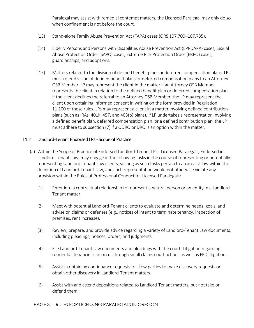Paralegal may assist with remedial contempt matters, the Licensed Paralegal may only do so when confinement is not before the court.

- (13) Stand-alone Family Abuse Prevention Act (FAPA) cases (ORS 107.700–107.735).
- (14) Elderly Persons and Persons with Disabilities Abuse Prevention Act (EPPDAPA) cases, Sexual Abuse Protection Order (SAPO) cases, Extreme Risk Protection Order (ERPO) cases, guardianships, and adoptions.
- (15) Matters related to the division of defined benefit plans or deferred compensation plans. LPs must refer division of defined benefit plans or deferred compensation plans to an Attorney OSB Member. LP may represent the client in the matter if an Attorney OSB Member represents the client in relation to the defined benefit plan or deferred compensation plan. If the client declines the referral to an Attorney OSB Member, the LP may represent the client upon obtaining informed consent in writing on the form provided in Regulation 11.100 of these rules. LPs may represent a client in a matter involving defined contribution plans (such as IRAs, 401k, 457, and 403(b) plans). If LP undertakes a representation involving a defined benefit plan, deferred compensation plan, or a defined contribution plan, the LP must adhere to subsection (7) if a QDRO or DRO is an option within the matter.

#### 11.2 Landlord-Tenant Endorsed LPs - Scope of Practice

- (a) Within the Scope of Practice of Endorsed Landlord-Tenant LPs: Licensed Paralegals, Endorsed in Landlord-Tenant Law, may engage in the following tasks in the course of representing or potentially representing Landlord-Tenant Law clients, so long as such tasks pertain to an area of law within the definition of Landlord-Tenant Law, and such representation would not otherwise violate any provision within the Rules of Professional Conduct for Licensed Paralegals:
	- (1) Enter into a contractual relationship to represent a natural person or an entity in a Landlord-Tenant matter.
	- (2) Meet with potential Landlord-Tenant clients to evaluate and determine needs, goals, and advise on claims or defenses (e.g., notices of intent to terminate tenancy, inspection of premises, rent increase).
	- (3) Review, prepare, and provide advice regarding a variety of Landlord-Tenant Law documents, including pleadings, notices, orders, and judgments.
	- (4) File Landlord-Tenant Law documents and pleadings with the court. Litigation regarding residential tenancies can occur through small claims court actions as well as FED litigation.
	- (5) Assist in obtaining continuance requests to allow parties to make discovery requests or obtain other discovery in Landlord-Tenant matters.
	- (6) Assist with and attend depositions related to Landlord-Tenant matters, but not take or defend them.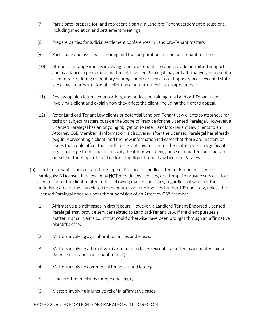- (7) Participate, prepare for, and represent a party in Landlord-Tenant settlement discussions, including mediation and settlement meetings.
- (8) Prepare parties for judicial settlement conferences in Landlord-Tenant matters
- (9) Participate and assist with hearing and trial preparation in Landlord-Tenant matters.
- (10) Attend court appearances involving Landlord-Tenant Law and provide permitted support and assistance in procedural matters. A Licensed Paralegal may not affirmatively represent a client directly during evidentiary hearings or other similar court appearances, except if state law allows representation of a client by a non-attorney in such appearance.
- (11) Review opinion letters, court orders, and notices pertaining to a Landlord-Tenant Law involving a client and explain how they affect the client, including the right to appeal.
- (12) Refer Landlord-Tenant Law clients or potential Landlord-Tenant Law clients to attorneys for tasks or subject matters outside the Scope of Practice for the Licensed Paralegal. However, a Licensed Paralegal has an ongoing obligation to refer Landlord-Tenant Law clients to an Attorney OSB Member, if information is discovered after the Licensed Paralegal has already begun representing a client, and the new information indicates that there are matters or issues that could affect the Landlord-Tenant Law matter, or the matter poses a significant legal challenge to the client's security, health or well-being, and such matters or issues are outside of the Scope of Practice for a Landlord-Tenant Law Licensed Paralegal .
- (b) Landlord-Tenant issues outside the Scope of Practice of Landlord-Tenant Endorsed Licensed Paralegals: A Licensed Paralegal may NOT provide any services, or attempt to provide services, to a client or potential client related to the following matters or issues, regardless of whether the underlying area of the law related to the matter or issue involves Landlord-Tenant Law, unless the Licensed Paralegal does so under the supervision of an Attorney OSB Member:
	- (1) Affirmative plaintiff cases in circuit court. However, a Landlord-Tenant Endorsed Licensed Paralegal may provide services related to Landlord-Tenant Law, if the client pursues a matter in small claims court that could otherwise have been brought through an affirmative plaintiff's case.
	- (2) Matters involving agricultural tenancies and leases.
	- (3) Matters involving affirmative discrimination claims (except if asserted as a counterclaim or defense of a Landlord-Tenant matter).
	- (4) Matters involving commercial tenancies and leasing.
	- (5) Landlord-tenant claims for personal injury.
	- (6) Matters involving injunctive relief in affirmative cases.

## PAGE 32 - RULES FOR LICENSING PARALEGALS IN OREGON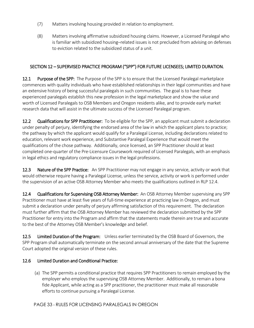- (7) Matters involving housing provided in relation to employment.
- (8) Matters involving affirmative subsidized housing claims. However, a Licensed Paralegal who is familiar with subsidized housing–related issues is not precluded from advising on defenses to eviction related to the subsidized status of a unit.

# SECTION 12 – SUPERVISED PRACTICE PROGRAM ("SPP") FOR FUTURE LICENSEES; LIMITED DURATION.

**12.1 Purpose of the SPP:** The Purpose of the SPP is to ensure that the Licensed Paralegal marketplace commences with quality individuals who have established relationships in their legal communities and have an extensive history of being successful paralegals in such communities. The goal is to have these experienced paralegals establish this new profession in the legal marketplace and show the value and worth of Licensed Paralegals to OSB Members and Oregon residents alike, and to provide early market research data that will assist in the ultimate success of the Licensed Paralegal program.

12.2 Qualifications for SPP Practitioner: To be eligible for the SPP, an applicant must submit a declaration under penalty of perjury, identifying the endorsed area of the law in which the applicant plans to practice; the pathway by which the applicant would qualify for a Paralegal License, including declarations related to education, relevant work experience, and Substantive Paralegal Experience that would meet the qualifications of the chose pathway. Additionally, once licensed, an SPP Practitioner should at least completed one-quarter of the Pre-Licensure Coursework required of Licensed Paralegals, with an emphasis in legal ethics and regulatory compliance issues in the legal professions.

12.3 Nature of the SPP Practice: An SPP Practitioner may not engage in any service, activity or work that would otherwise require having a Paralegal License, unless the service, activity or work is performed under the supervision of an active OSB Attorney Member who meets the qualifications outlined in RLP 12.4.

12.4 Qualifications for Supervising OSB Attorney Member: An OSB Attorney Member supervising any SPP Practitioner must have at least five years of full-time experience at practicing law in Oregon, and must submit a declaration under penalty of perjury affirming satisfaction of this requirement. The declaration must further affirm that the OSB Attorney Member has reviewed the declaration submitted by the SPP Practitioner for entry into the Program and affirm that the statements made therein are true and accurate to the best of the Attorney OSB Member's knowledge and belief.

12.5 Limited Duration of the Program: Unless earlier terminated by the OSB Board of Governors, the SPP Program shall automatically terminate on the second annual anniversary of the date that the Supreme Court adopted the original version of these rules.

## 12.6 Limited Duration and Conditional Practice:

(a) The SPP permits a conditional practice that requires SPP Practitioners to remain employed by the employer who employs the supervising OSB Attorney Member. Additionally, to remain a bona fide Applicant, while acting as a SPP practitioner, the practitioner must make all reasonable efforts to continue pursuing a Paralegal License.